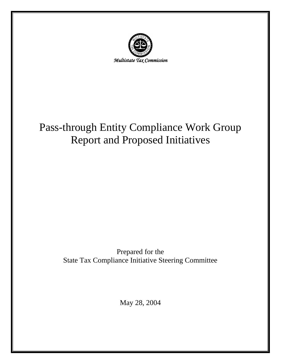

# Pass-through Entity Compliance Work Group Report and Proposed Initiatives

## Prepared for the State Tax Compliance Initiative Steering Committee

May 28, 2004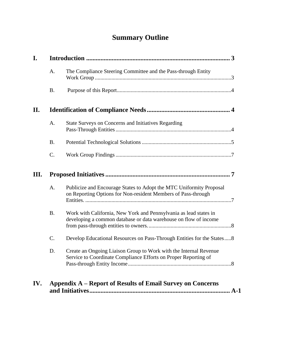## **Summary Outline**

| I.  |                |                                                                                                                                       |  |
|-----|----------------|---------------------------------------------------------------------------------------------------------------------------------------|--|
|     | A.             | The Compliance Steering Committee and the Pass-through Entity                                                                         |  |
|     | <b>B.</b>      |                                                                                                                                       |  |
| II. |                |                                                                                                                                       |  |
|     | A.             | State Surveys on Concerns and Initiatives Regarding                                                                                   |  |
|     | <b>B.</b>      |                                                                                                                                       |  |
|     | C.             |                                                                                                                                       |  |
| Ш.  | $\overline{7}$ |                                                                                                                                       |  |
|     | A.             | Publicize and Encourage States to Adopt the MTC Uniformity Proposal<br>on Reporting Options for Non-resident Members of Pass-through  |  |
|     | <b>B.</b>      | Work with California, New York and Pennsylvania as lead states in<br>developing a common database or data warehouse on flow of income |  |
|     | C.             | Develop Educational Resources on Pass-Through Entities for the States8                                                                |  |
|     | D.             | Create an Ongoing Liaison Group to Work with the Internal Revenue<br>Service to Coordinate Compliance Efforts on Proper Reporting of  |  |
| IV. |                | <b>Appendix A – Report of Results of Email Survey on Concerns</b>                                                                     |  |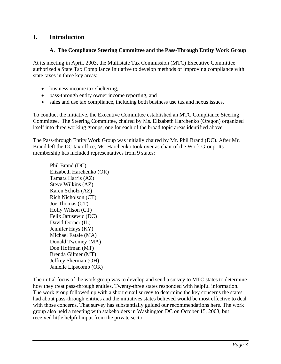#### **I. Introduction**

#### **A. The Compliance Steering Committee and the Pass-Through Entity Work Group**

At its meeting in April, 2003, the Multistate Tax Commission (MTC) Executive Committee authorized a State Tax Compliance Initiative to develop methods of improving compliance with state taxes in three key areas:

- business income tax sheltering,
- pass-through entity owner income reporting, and
- sales and use tax compliance, including both business use tax and nexus issues.

To conduct the initiative, the Executive Committee established an MTC Compliance Steering Committee. The Steering Committee, chaired by Ms. Elizabeth Harchenko (Oregon) organized itself into three working groups, one for each of the broad topic areas identified above.

The Pass-through Entity Work Group was initially chaired by Mr. Phil Brand (DC). After Mr. Brand left the DC tax office, Ms. Harchenko took over as chair of the Work Group. Its membership has included representatives from 9 states:

Phil Brand (DC) Elizabeth Harchenko (OR) Tamara Harris (AZ) Steve Wilkins (AZ) Karen Scholz (AZ) Rich Nicholson (CT) Joe Thomas (CT) Holly Wilson (CT) Felix Jarusewic (DC) David Dorner (IL) Jennifer Hays (KY) Michael Fatale (MA) Donald Twomey (MA) Don Hoffman (MT) Brenda Gilmer (MT) Jeffrey Sherman (OH) Janielle Lipscomb (OR)

The initial focus of the work group was to develop and send a survey to MTC states to determine how they treat pass-through entities. Twenty-three states responded with helpful information. The work group followed up with a short email survey to determine the key concerns the states had about pass-through entities and the initiatives states believed would be most effective to deal with those concerns. That survey has substantially guided our recommendations here. The work group also held a meeting with stakeholders in Washington DC on October 15, 2003, but received little helpful input from the private sector.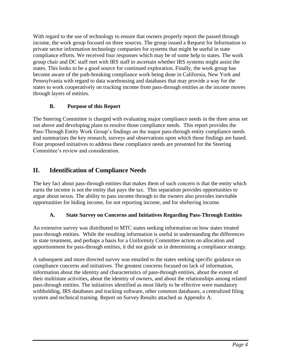With regard to the use of technology to ensure that owners properly report the passed through income, the work group focused on three sources. The group issued a Request for Information to private sector information technology companies for systems that might be useful in state compliance efforts. We received four responses which may be of some help to states. The work group chair and DC staff met with IRS staff to ascertain whether IRS systems might assist the states. This looks to be a good source for continued exploration. Finally, the work group has become aware of the path-breaking compliance work being done in California, New York and Pennsylvania with regard to data warehousing and databases that may provide a way for the states to work cooperatively on tracking income from pass-through entities as the income moves through layers of entities.

#### **B. Purpose of this Report**

The Steering Committee is charged with evaluating major compliance needs in the three areas set out above and developing plans to resolve those compliance needs. This report provides the Pass-Through Entity Work Group's findings on the major pass-through entity compliance needs and summarizes the key research, surveys and observations upon which those findings are based. Four proposed initiatives to address these compliance needs are presented for the Steering Committee's review and consideration.

## **II. Identification of Compliance Needs**

The key fact about pass-through entities that makes them of such concern is that the entity which earns the income is not the entity that pays the tax. This separation provides opportunities to argue about nexus. The ability to pass income through to the owners also provides inevitable opportunities for hiding income, for not reporting income, and for sheltering income.

#### **A. State Survey on Concerns and Initiatives Regarding Pass-Through Entities**

An extensive survey was distributed to MTC states seeking information on how states treated pass-through entities. While the resulting information is useful in understanding the differences in state treatment, and perhaps a basis for a Uniformity Committee action on allocation and apportionment for pass-through entities, it did not guide us in determining a compliance strategy.

A subsequent and more directed survey was emailed to the states seeking specific guidance on compliance concerns and initiatives. The greatest concerns focused on lack of information, information about the identity and characteristics of pass-through entities, about the extent of their multistate activities, about the identity of owners, and about the relationships among related pass-through entities. The initiatives identified as most likely to be effective were mandatory withholding, IRS databases and tracking software, other common databases, a centralized filing system and technical training. Report on Survey Results attached as Appendix A.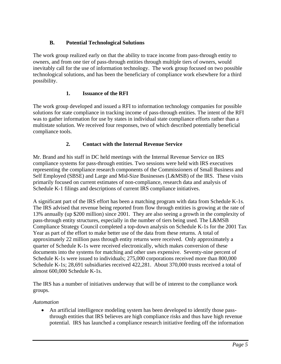#### **B. Potential Technological Solutions**

The work group realized early on that the ability to trace income from pass-through entity to owners, and from one tier of pass-through entities through multiple tiers of owners, would inevitably call for the use of information technology. The work group focused on two possible technological solutions, and has been the beneficiary of compliance work elsewhere for a third possibility.

#### **1. Issuance of the RFI**

The work group developed and issued a RFI to information technology companies for possible solutions for state compliance in tracking income of pass-through entities. The intent of the RFI was to gather information for use by states in individual state compliance efforts rather than a multistate solution. We received four responses, two of which described potentially beneficial compliance tools.

#### **2. Contact with the Internal Revenue Service**

Mr. Brand and his staff in DC held meetings with the Internal Revenue Service on IRS compliance systems for pass-through entities. Two sessions were held with IRS executives representing the compliance research components of the Commissioners of Small Business and Self Employed (SBSE) and Large and Mid-Size Businesses (L&MSB) of the IRS. These visits primarily focused on current estimates of non-compliance, research data and analysis of Schedule K-1 filings and descriptions of current IRS compliance initiatives.

A significant part of the IRS effort has been a matching program with data from Schedule K-1s. The IRS advised that revenue being reported from flow through entities is growing at the rate of 13% annually (up \$200 million) since 2001. They are also seeing a growth in the complexity of pass-through entity structures, especially in the number of tiers being used. The L&MSB Compliance Strategy Council completed a top-down analysis on Schedule K-1s for the 2001 Tax Year as part of the effort to make better use of the data from these returns. A total of approximately 22 million pass through entity returns were received. Only approximately a quarter of Schedule K-1s were received electronically, which makes conversion of these documents into the systems for matching and other uses expensive. Seventy-nine percent of Schedule K-1s were issued to individuals; 275,000 corporations received more than 800,000 Schedule K-1s; 28,691 subsidiaries received 422,281. About 370,000 trusts received a total of almost 600,000 Schedule K-1s.

The IRS has a number of initiatives underway that will be of interest to the compliance work groups.

#### *Automation*

• An artificial intelligence modeling system has been developed to identify those passthrough entities that IRS believes are high compliance risks and thus have high revenue potential. IRS has launched a compliance research initiative feeding off the information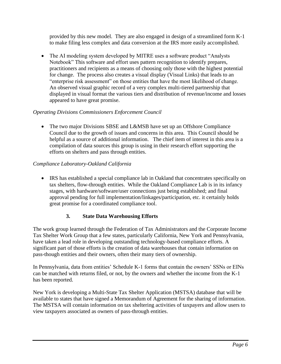provided by this new model. They are also engaged in design of a streamlined form K-1 to make filing less complex and data conversion at the IRS more easily accomplished.

• The AI modeling system developed by MITRE uses a software product "Analysts" Notebook" This software and effort uses pattern recognition to identify prepares, practitioners and recipients as a means of choosing only those with the highest potential for change. The process also creates a visual display (Visual Links) that leads to an "enterprise risk assessment" on those entities that have the most likelihood of change. An observed visual graphic record of a very complex multi-tiered partnership that displayed in visual format the various tiers and distribution of revenue/income and losses appeared to have great promise.

#### *Operating Divisions Commissioners Enforcement Council*

• The two major Divisions SBSE and L&MSB have set up an Offshore Compliance Council due to the growth of issues and concerns in this area. This Council should be helpful as a source of additional information. The chief item of interest in this area is a compilation of data sources this group is using in their research effort supporting the efforts on shelters and pass through entities.

#### *Compliance Laboratory-Oakland California*

• IRS has established a special compliance lab in Oakland that concentrates specifically on tax shelters, flow-through entities. While the Oakland Compliance Lab is in its infancy stages, with hardware/software/user connections just being established; and final approval pending for full implementation/linkages/participation, etc. it certainly holds great promise for a coordinated compliance tool.

#### **3. State Data Warehousing Efforts**

The work group learned through the Federation of Tax Administrators and the Corporate Income Tax Shelter Work Group that a few states, particularly California, New York and Pennsylvania, have taken a lead role in developing outstanding technology-based compliance efforts. A significant part of those efforts is the creation of data warehouses that contain information on pass-though entities and their owners, often their many tiers of ownership.

In Pennsylvania, data from entities' Schedule K-1 forms that contain the owners' SSNs or EINs can be matched with returns filed, or not, by the owners and whether the income from the K-1 has been reported.

New York is developing a Multi-State Tax Shelter Application (MSTSA) database that will be available to states that have signed a Memorandum of Agreement for the sharing of information. The MSTSA will contain information on tax sheltering activities of taxpayers and allow users to view taxpayers associated as owners of pass-through entities.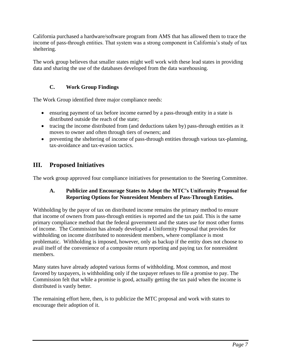California purchased a hardware/software program from AMS that has allowed them to trace the income of pass-through entities. That system was a strong component in California's study of tax sheltering.

The work group believes that smaller states might well work with these lead states in providing data and sharing the use of the databases developed from the data warehousing.

#### **C. Work Group Findings**

The Work Group identified three major compliance needs:

- ensuring payment of tax before income earned by a pass-through entity in a state is distributed outside the reach of the state;
- tracing the income distributed from (and deductions taken by) pass-through entities as it moves to owner and often through tiers of owners; and
- preventing the sheltering of income of pass-through entities through various tax-planning, tax-avoidance and tax-evasion tactics.

## **III. Proposed Initiatives**

The work group approved four compliance initiatives for presentation to the Steering Committee.

#### **A. Publicize and Encourage States to Adopt the MTC's Uniformity Proposal for Reporting Options for Nonresident Members of Pass-Through Entities.**

Withholding by the payor of tax on distributed income remains the primary method to ensure that income of owners from pass-through entities is reported and the tax paid. This is the same primary compliance method that the federal government and the states use for most other forms of income. The Commission has already developed a Uniformity Proposal that provides for withholding on income distributed to nonresident members, where compliance is most problematic. Withholding is imposed, however, only as backup if the entity does not choose to avail itself of the convenience of a composite return reporting and paying tax for nonresident members.

Many states have already adopted various forms of withholding. Most common, and most favored by taxpayers, is withholding only if the taxpayer refuses to file a promise to pay. The Commission felt that while a promise is good, actually getting the tax paid when the income is distributed is vastly better.

The remaining effort here, then, is to publicize the MTC proposal and work with states to encourage their adoption of it.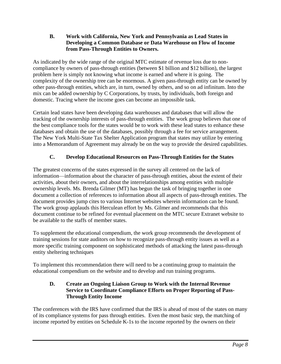#### **B. Work with California, New York and Pennsylvania as Lead States in Developing a Common Database or Data Warehouse on Flow of Income from Pass-Through Entities to Owners.**

As indicated by the wide range of the original MTC estimate of revenue loss due to noncompliance by owners of pass-through entities (between \$1 billion and \$12 billion), the largest problem here is simply not knowing what income is earned and where it is going. The complexity of the ownership tree can be enormous. A given pass-through entity can be owned by other pass-through entities, which are, in turn, owned by others, and so on ad infinitum. Into the mix can be added ownership by C Corporations, by trusts, by individuals, both foreign and domestic. Tracing where the income goes can become an impossible task.

Certain lead states have been developing data warehouses and databases that will allow the tracking of the ownership interests of pass-through entities. The work group believes that one of the best compliance tools for the states would be to work with these lead states to enhance these databases and obtain the use of the databases, possibly through a fee for service arrangement. The New York Multi-State Tax Shelter Application program that states may utilize by entering into a Memorandum of Agreement may already be on the way to provide the desired capabilities.

#### **C. Develop Educational Resources on Pass-Through Entities for the States**

The greatest concerns of the states expressed in the survey all centered on the lack of information—information about the character of pass-through entities, about the extent of their activities, about their owners, and about the interrelationships among entities with multiple ownership levels. Ms. Brenda Gilmer (MT) has begun the task of bringing together in one document a collection of references to information about all aspects of pass-through entities. The document provides jump cites to various Internet websites wherein information can be found. The work group applauds this Herculean effort by Ms. Gilmer and recommends that this document continue to be refined for eventual placement on the MTC secure Extranet website to be available to the staffs of member states.

To supplement the educational compendium, the work group recommends the development of training sessions for state auditors on how to recognize pass-through entity issues as well as a more specific training component on sophisticated methods of attacking the latest pass-through entity sheltering techniques

To implement this recommendation there will need to be a continuing group to maintain the educational compendium on the website and to develop and run training programs.

#### **D. Create an Ongoing Liaison Group to Work with the Internal Revenue Service to Coordinate Compliance Efforts on Proper Reporting of Pass-Through Entity Income**

The conferences with the IRS have confirmed that the IRS is ahead of most of the states on many of its compliance systems for pass through entities. Even the most basic step, the matching of income reported by entities on Schedule K-1s to the income reported by the owners on their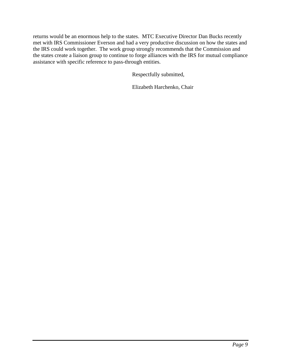returns would be an enormous help to the states. MTC Executive Director Dan Bucks recently met with IRS Commissioner Everson and had a very productive discussion on how the states and the IRS could work together. The work group strongly recommends that the Commission and the states create a liaison group to continue to forge alliances with the IRS for mutual compliance assistance with specific reference to pass-through entities.

Respectfully submitted,

Elizabeth Harchenko, Chair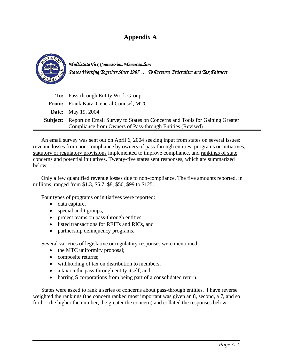### **Appendix A**



*Multistate Tax Commission Memorandum States Working Together Since 1967 . . . To Preserve Federalism and Tax Fairness*

| <b>To:</b> Pass-through Entity Work Group                                                  |  |
|--------------------------------------------------------------------------------------------|--|
| <b>From:</b> Frank Katz, General Counsel, MTC                                              |  |
| <b>Date:</b> May 19, 2004                                                                  |  |
| <b>Subject:</b> Report on Email Survey to States on Concerns and Tools for Gaining Greater |  |
| Compliance from Owners of Pass-through Entities (Revised)                                  |  |

An email survey was sent out on April 6, 2004 seeking input from states on several issues: revenue losses from non-compliance by owners of pass-through entities; programs or initiatives, statutory or regulatory provisions implemented to improve compliance, and rankings of state concerns and potential initiatives. Twenty-five states sent responses, which are summarized below.

Only a few quantified revenue losses due to non-compliance. The five amounts reported, in millions, ranged from \$1.3, \$5.7, \$8, \$50, \$99 to \$125.

Four types of programs or initiatives were reported:

- data capture,
- special audit groups,
- project teams on pass-through entities
- listed transactions for REITs and RICs, and
- partnership delinquency programs.

Several varieties of legislative or regulatory responses were mentioned:

- the MTC uniformity proposal;
- composite returns;
- withholding of tax on distribution to members;
- a tax on the pass-through entity itself; and
- barring S corporations from being part of a consolidated return.

States were asked to rank a series of concerns about pass-through entities. I have reverse weighted the rankings (the concern ranked most important was given an 8, second, a 7, and so forth—the higher the number, the greater the concern) and collated the responses below.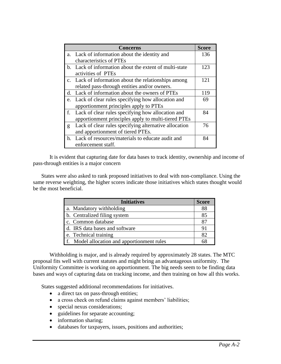|    | <b>Concerns</b>                                        | <b>Score</b> |
|----|--------------------------------------------------------|--------------|
|    | a. Lack of information about the identity and          | 136          |
|    | characteristics of PTEs                                |              |
|    | b. Lack of information about the extent of multi-state | 123          |
|    | activities of PTEs                                     |              |
|    | c. Lack of information about the relationships among   | 121          |
|    | related pass-through entities and/or owners.           |              |
| d. | Lack of information about the owners of PTEs           | 119          |
| e. | Lack of clear rules specifying how allocation and      | 69           |
|    | apportionment principles apply to PTEs                 |              |
| f. | Lack of clear rules specifying how allocation and      | 84           |
|    | apportionment principles apply to multi-tiered PTEs    |              |
| g  | Lack of clear rules specifying alternative allocation  | 76           |
|    | and apportionment of tiered PTEs.                      |              |
|    | h. Lack of resources/materials to educate audit and    | 84           |
|    | enforcement staff.                                     |              |

It is evident that capturing date for data bases to track identity, ownership and income of pass-through entities is a major concern

States were also asked to rank proposed initiatives to deal with non-compliance. Using the same reverse weighting, the higher scores indicate those initiatives which states thought would be the most beneficial.

| <b>Initiatives</b>                          | <b>Score</b> |
|---------------------------------------------|--------------|
| a. Mandatory withholding                    | 88           |
| b. Centralized filing system                | 85           |
| c. Common database                          |              |
| d. IRS data bases and software              | 91           |
| e. Technical training                       | 82           |
| f. Model allocation and apportionment rules |              |

Withholding is major, and is already required by approximately 28 states. The MTC proposal fits well with current statutes and might bring an advantageous uniformity. The Uniformity Committee is working on apportionment. The big needs seem to be finding data bases and ways of capturing data on tracking income, and then training on how all this works.

States suggested additional recommendations for initiatives.

- a direct tax on pass-through entities;
- a cross check on refund claims against members' liabilities;
- special nexus considerations;
- guidelines for separate accounting;
- information sharing;
- databases for taxpayers, issues, positions and authorities;